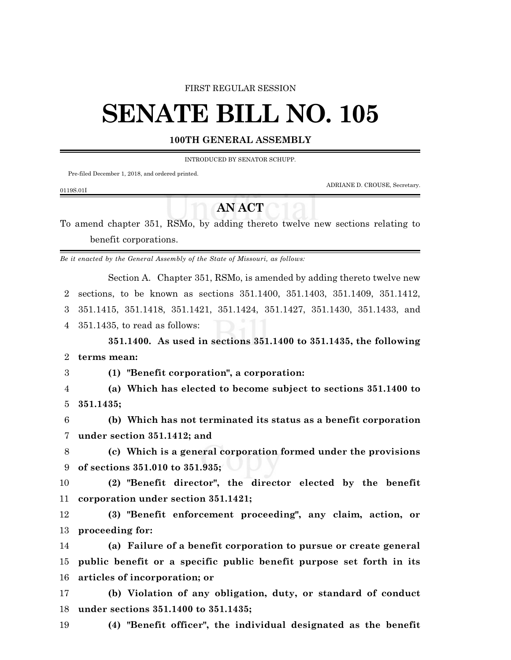### FIRST REGULAR SESSION

# **SENATE BILL NO. 105**

## **100TH GENERAL ASSEMBLY**

INTRODUCED BY SENATOR SCHUPP.

Pre-filed December 1, 2018, and ordered printed.

ADRIANE D. CROUSE, Secretary.

#### 0119S.01I

## **AN ACT**

To amend chapter 351, RSMo, by adding thereto twelve new sections relating to benefit corporations.

*Be it enacted by the General Assembly of the State of Missouri, as follows:*

Section A. Chapter 351, RSMo, is amended by adding thereto twelve new sections, to be known as sections 351.1400, 351.1403, 351.1409, 351.1412, 351.1415, 351.1418, 351.1421, 351.1424, 351.1427, 351.1430, 351.1433, and 351.1435, to read as follows:

**351.1400. As used in sections 351.1400 to 351.1435, the following terms mean:**

**(1) "Benefit corporation", a corporation:**

 **(a) Which has elected to become subject to sections 351.1400 to 351.1435;**

 **(b) Which has not terminated its status as a benefit corporation under section 351.1412; and**

 **(c) Which is a general corporation formed under the provisions of sections 351.010 to 351.935;**

 **(2) "Benefit director", the director elected by the benefit corporation under section 351.1421;**

 **(3) "Benefit enforcement proceeding", any claim, action, or proceeding for:**

 **(a) Failure of a benefit corporation to pursue or create general public benefit or a specific public benefit purpose set forth in its articles of incorporation; or**

 **(b) Violation of any obligation, duty, or standard of conduct under sections 351.1400 to 351.1435;**

**(4) "Benefit officer", the individual designated as the benefit**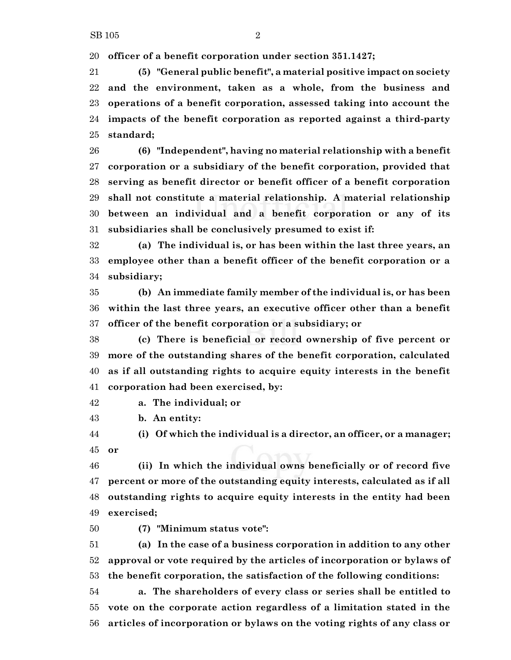**officer of a benefit corporation under section 351.1427;**

 **(5) "General public benefit", a material positive impact on society and the environment, taken as a whole, from the business and operations of a benefit corporation, assessed taking into account the impacts of the benefit corporation as reported against a third-party standard;**

 **(6) "Independent", having no material relationship with a benefit corporation or a subsidiary of the benefit corporation, provided that serving as benefit director or benefit officer of a benefit corporation shall not constitute a material relationship. A material relationship between an individual and a benefit corporation or any of its subsidiaries shall be conclusively presumed to exist if:**

 **(a) The individual is, or has been within the last three years, an employee other than a benefit officer of the benefit corporation or a subsidiary;**

 **(b) An immediate family member of the individual is, or has been within the last three years, an executive officer other than a benefit officer of the benefit corporation or a subsidiary; or**

 **(c) There is beneficial or record ownership of five percent or more of the outstanding shares of the benefit corporation, calculated as if all outstanding rights to acquire equity interests in the benefit corporation had been exercised, by:**

**a. The individual; or**

**b. An entity:**

 **(i) Of which the individual is a director, an officer, or a manager; or**

 **(ii) In which the individual owns beneficially or of record five percent or more of the outstanding equity interests, calculated as if all outstanding rights to acquire equity interests in the entity had been exercised;**

**(7) "Minimum status vote":**

 **(a) In the case of a business corporation in addition to any other approval or vote required by the articles of incorporation or bylaws of the benefit corporation, the satisfaction of the following conditions:**

 **a. The shareholders of every class or series shall be entitled to vote on the corporate action regardless of a limitation stated in the articles of incorporation or bylaws on the voting rights of any class or**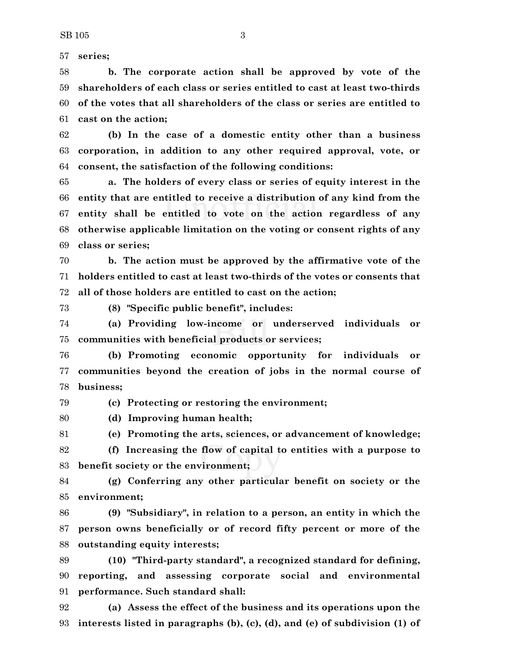**series;**

 **b. The corporate action shall be approved by vote of the shareholders of each class or series entitled to cast at least two-thirds of the votes that all shareholders of the class or series are entitled to cast on the action;**

 **(b) In the case of a domestic entity other than a business corporation, in addition to any other required approval, vote, or consent, the satisfaction of the following conditions:**

 **a. The holders of every class or series of equity interest in the entity that are entitled to receive a distribution of any kind from the entity shall be entitled to vote on the action regardless of any otherwise applicable limitation on the voting or consent rights of any class or series;**

 **b. The action must be approved by the affirmative vote of the holders entitled to cast at least two-thirds of the votes or consents that all of those holders are entitled to cast on the action;**

**(8) "Specific public benefit", includes:**

 **(a) Providing low-income or underserved individuals or communities with beneficial products or services;**

 **(b) Promoting economic opportunity for individuals or communities beyond the creation of jobs in the normal course of business;**

**(c) Protecting or restoring the environment;**

**(d) Improving human health;**

**(e) Promoting the arts, sciences, or advancement of knowledge;**

 **(f) Increasing the flow of capital to entities with a purpose to benefit society or the environment;**

 **(g) Conferring any other particular benefit on society or the environment;**

 **(9) "Subsidiary", in relation to a person, an entity in which the person owns beneficially or of record fifty percent or more of the outstanding equity interests;**

 **(10) "Third-party standard", a recognized standard for defining, reporting, and assessing corporate social and environmental performance. Such standard shall:**

 **(a) Assess the effect of the business and its operations upon the interests listed in paragraphs (b), (c), (d), and (e) of subdivision (1) of**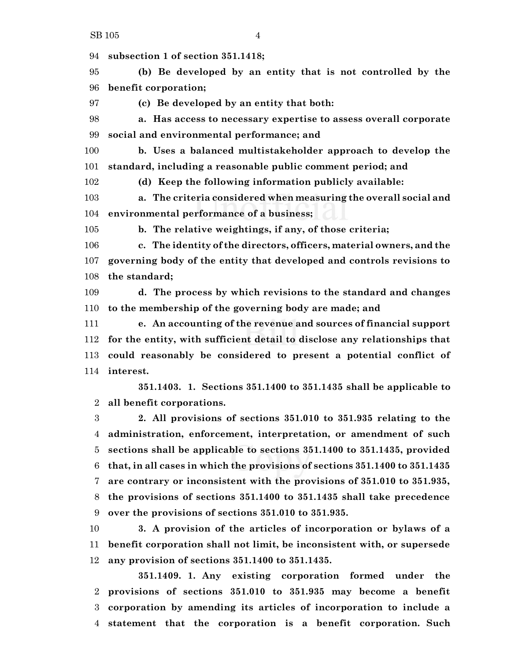**subsection 1 of section 351.1418;**

 **(b) Be developed by an entity that is not controlled by the benefit corporation;**

**(c) Be developed by an entity that both:**

 **a. Has access to necessary expertise to assess overall corporate social and environmental performance; and**

 **b. Uses a balanced multistakeholder approach to develop the standard, including a reasonable public comment period; and**

**(d) Keep the following information publicly available:**

 **a. The criteria considered when measuring the overall social and environmental performance of a business;**

**b. The relative weightings, if any, of those criteria;**

 **c. The identity of the directors, officers, material owners, and the governing body of the entity that developed and controls revisions to the standard;**

 **d. The process by which revisions to the standard and changes to the membership of the governing body are made; and**

 **e. An accounting of the revenue and sources of financial support for the entity, with sufficient detail to disclose any relationships that could reasonably be considered to present a potential conflict of interest.**

**351.1403. 1. Sections 351.1400 to 351.1435 shall be applicable to all benefit corporations.**

 **2. All provisions of sections 351.010 to 351.935 relating to the administration, enforcement, interpretation, or amendment of such sections shall be applicable to sections 351.1400 to 351.1435, provided that, in all cases in which the provisions of sections 351.1400 to 351.1435 are contrary or inconsistent with the provisions of 351.010 to 351.935, the provisions of sections 351.1400 to 351.1435 shall take precedence over the provisions of sections 351.010 to 351.935.**

 **3. A provision of the articles of incorporation or bylaws of a benefit corporation shall not limit, be inconsistent with, or supersede any provision of sections 351.1400 to 351.1435.**

**351.1409. 1. Any existing corporation formed under the provisions of sections 351.010 to 351.935 may become a benefit corporation by amending its articles of incorporation to include a statement that the corporation is a benefit corporation. Such**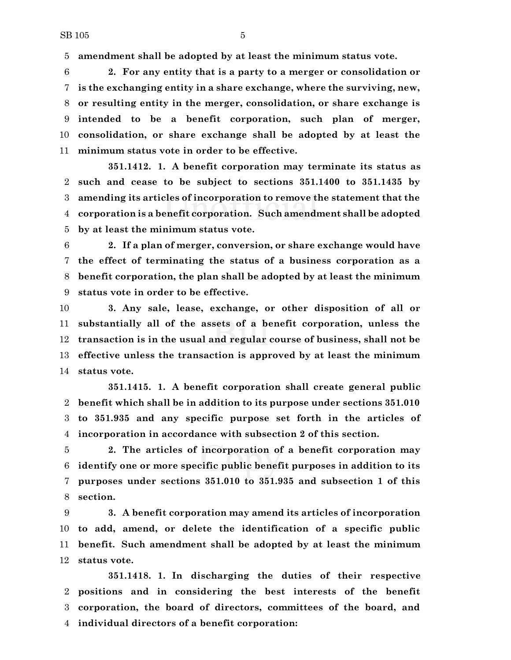**amendment shall be adopted by at least the minimum status vote.**

 **2. For any entity that is a party to a merger or consolidation or is the exchanging entity in a share exchange, where the surviving, new, or resulting entity in the merger, consolidation, or share exchange is intended to be a benefit corporation, such plan of merger, consolidation, or share exchange shall be adopted by at least the minimum status vote in order to be effective.**

**351.1412. 1. A benefit corporation may terminate its status as such and cease to be subject to sections 351.1400 to 351.1435 by amending its articles of incorporation to remove the statement that the corporation is a benefit corporation. Such amendment shall be adopted by at least the minimum status vote.**

 **2. If a plan of merger, conversion, or share exchange would have the effect of terminating the status of a business corporation as a benefit corporation, the plan shall be adopted by at least the minimum status vote in order to be effective.**

 **3. Any sale, lease, exchange, or other disposition of all or substantially all of the assets of a benefit corporation, unless the transaction is in the usual and regular course of business, shall not be effective unless the transaction is approved by at least the minimum status vote.**

**351.1415. 1. A benefit corporation shall create general public benefit which shall be in addition to its purpose under sections 351.010 to 351.935 and any specific purpose set forth in the articles of incorporation in accordance with subsection 2 of this section.**

 **2. The articles of incorporation of a benefit corporation may identify one or more specific public benefit purposes in addition to its purposes under sections 351.010 to 351.935 and subsection 1 of this section.**

 **3. A benefit corporation may amend its articles of incorporation to add, amend, or delete the identification of a specific public benefit. Such amendment shall be adopted by at least the minimum status vote.**

**351.1418. 1. In discharging the duties of their respective positions and in considering the best interests of the benefit corporation, the board of directors, committees of the board, and individual directors of a benefit corporation:**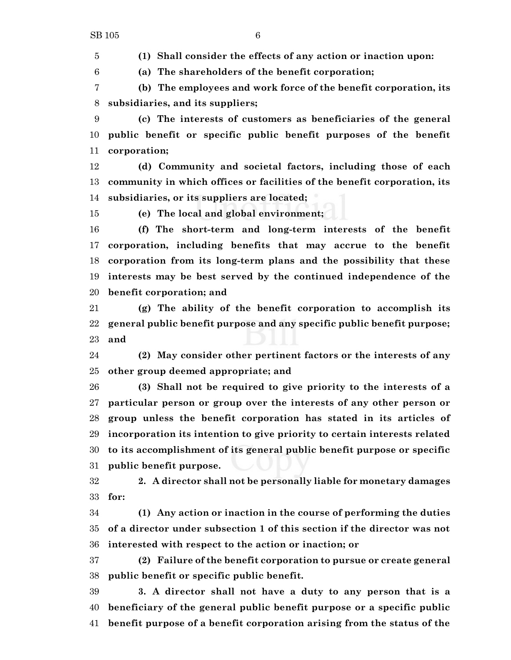**(1) Shall consider the effects of any action or inaction upon:**

**(a) The shareholders of the benefit corporation;**

 **(b) The employees and work force of the benefit corporation, its subsidiaries, and its suppliers;**

 **(c) The interests of customers as beneficiaries of the general public benefit or specific public benefit purposes of the benefit corporation;**

 **(d) Community and societal factors, including those of each community in which offices or facilities of the benefit corporation, its subsidiaries, or its suppliers are located;**

**(e) The local and global environment;**

 **(f) The short-term and long-term interests of the benefit corporation, including benefits that may accrue to the benefit corporation from its long-term plans and the possibility that these interests may be best served by the continued independence of the benefit corporation; and**

 **(g) The ability of the benefit corporation to accomplish its general public benefit purpose and any specific public benefit purpose; and**

 **(2) May consider other pertinent factors or the interests of any other group deemed appropriate; and**

 **(3) Shall not be required to give priority to the interests of a particular person or group over the interests of any other person or group unless the benefit corporation has stated in its articles of incorporation its intention to give priority to certain interests related to its accomplishment of its general public benefit purpose or specific public benefit purpose.**

 **2. A director shall not be personally liable for monetary damages for:**

 **(1) Any action or inaction in the course of performing the duties of a director under subsection 1 of this section if the director was not interested with respect to the action or inaction; or**

 **(2) Failure of the benefit corporation to pursue or create general public benefit or specific public benefit.**

 **3. A director shall not have a duty to any person that is a beneficiary of the general public benefit purpose or a specific public benefit purpose of a benefit corporation arising from the status of the**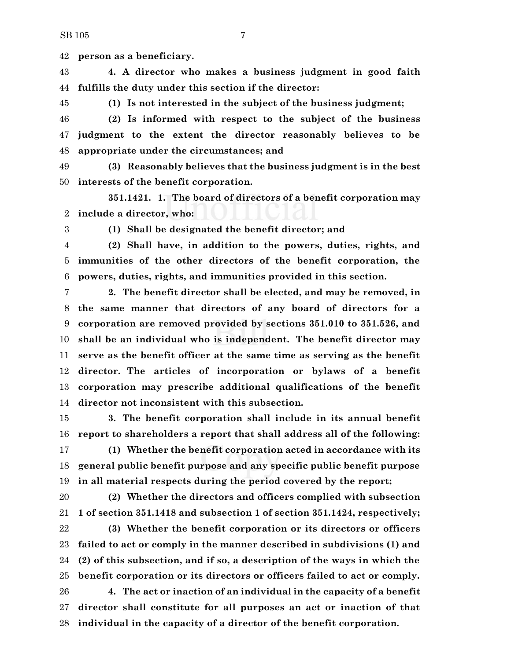**person as a beneficiary.**

 **4. A director who makes a business judgment in good faith fulfills the duty under this section if the director:**

**(1) Is not interested in the subject of the business judgment;**

 **(2) Is informed with respect to the subject of the business judgment to the extent the director reasonably believes to be appropriate under the circumstances; and**

 **(3) Reasonably believes that the business judgment is in the best interests of the benefit corporation.**

**351.1421. 1. The board of directors of a benefit corporation may include a director, who:**

**(1) Shall be designated the benefit director; and**

 **(2) Shall have, in addition to the powers, duties, rights, and immunities of the other directors of the benefit corporation, the powers, duties, rights, and immunities provided in this section.**

 **2. The benefit director shall be elected, and may be removed, in the same manner that directors of any board of directors for a corporation are removed provided by sections 351.010 to 351.526, and shall be an individual who is independent. The benefit director may serve as the benefit officer at the same time as serving as the benefit director. The articles of incorporation or bylaws of a benefit corporation may prescribe additional qualifications of the benefit director not inconsistent with this subsection.**

 **3. The benefit corporation shall include in its annual benefit report to shareholders a report that shall address all of the following:**

 **(1) Whether the benefit corporation acted in accordance with its general public benefit purpose and any specific public benefit purpose in all material respects during the period covered by the report;**

 **(2) Whether the directors and officers complied with subsection 1 of section 351.1418 and subsection 1 of section 351.1424, respectively;**

 **(3) Whether the benefit corporation or its directors or officers failed to act or comply in the manner described in subdivisions (1) and (2) of this subsection, and if so, a description of the ways in which the benefit corporation or its directors or officers failed to act or comply. 4. The act or inaction of an individual in the capacity of a benefit director shall constitute for all purposes an act or inaction of that individual in the capacity of a director of the benefit corporation.**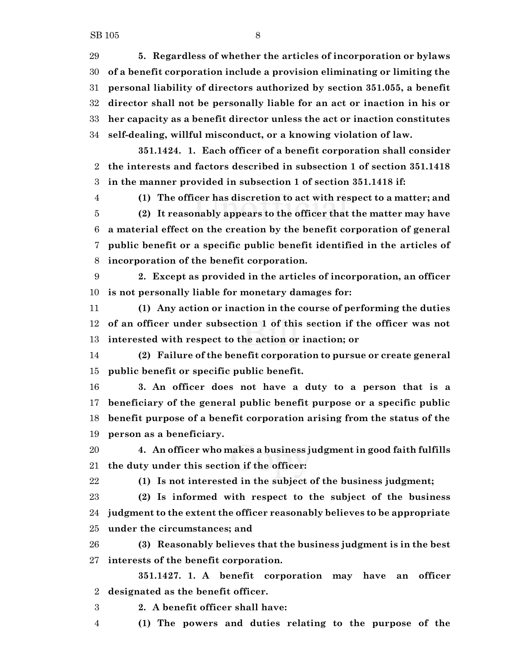**5. Regardless of whether the articles of incorporation or bylaws of a benefit corporation include a provision eliminating or limiting the personal liability of directors authorized by section 351.055, a benefit director shall not be personally liable for an act or inaction in his or her capacity as a benefit director unless the act or inaction constitutes self-dealing, willful misconduct, or a knowing violation of law.**

**351.1424. 1. Each officer of a benefit corporation shall consider the interests and factors described in subsection 1 of section 351.1418 in the manner provided in subsection 1 of section 351.1418 if:**

 **(1) The officer has discretion to act with respect to a matter; and (2) It reasonably appears to the officer that the matter may have a material effect on the creation by the benefit corporation of general public benefit or a specific public benefit identified in the articles of incorporation of the benefit corporation.**

 **2. Except as provided in the articles of incorporation, an officer is not personally liable for monetary damages for:**

 **(1) Any action or inaction in the course of performing the duties of an officer under subsection 1 of this section if the officer was not interested with respect to the action or inaction; or**

 **(2) Failure of the benefit corporation to pursue or create general public benefit or specific public benefit.**

 **3. An officer does not have a duty to a person that is a beneficiary of the general public benefit purpose or a specific public benefit purpose of a benefit corporation arising from the status of the person as a beneficiary.**

 **4. An officer who makes a business judgment in good faith fulfills the duty under this section if the officer:**

**(1) Is not interested in the subject of the business judgment;**

 **(2) Is informed with respect to the subject of the business judgment to the extent the officer reasonably believes to be appropriate under the circumstances; and**

 **(3) Reasonably believes that the business judgment is in the best interests of the benefit corporation.**

**351.1427. 1. A benefit corporation may have an officer designated as the benefit officer.**

**2. A benefit officer shall have:**

**(1) The powers and duties relating to the purpose of the**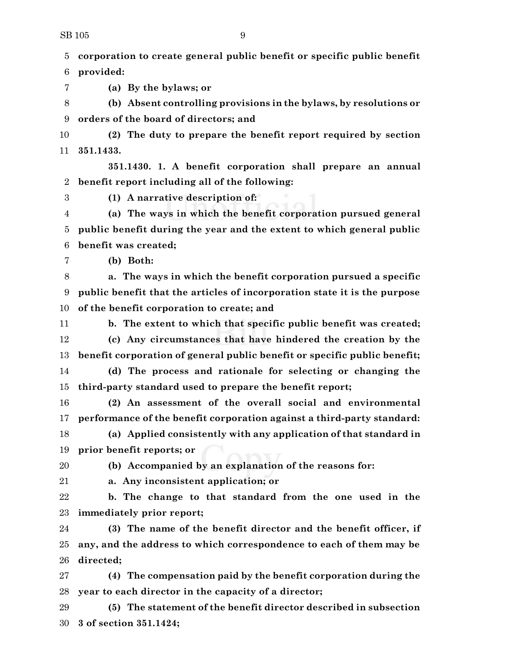**corporation to create general public benefit or specific public benefit provided:**

**(a) By the bylaws; or**

 **(b) Absent controlling provisions in the bylaws, by resolutions or orders of the board of directors; and**

 **(2) The duty to prepare the benefit report required by section 351.1433.**

**351.1430. 1. A benefit corporation shall prepare an annual benefit report including all of the following:**

**(1) A narrative description of:**

 **(a) The ways in which the benefit corporation pursued general public benefit during the year and the extent to which general public benefit was created;**

**(b) Both:**

 **a. The ways in which the benefit corporation pursued a specific public benefit that the articles of incorporation state it is the purpose of the benefit corporation to create; and**

 **b. The extent to which that specific public benefit was created; (c) Any circumstances that have hindered the creation by the benefit corporation of general public benefit or specific public benefit; (d) The process and rationale for selecting or changing the**

**third-party standard used to prepare the benefit report;**

 **(2) An assessment of the overall social and environmental performance of the benefit corporation against a third-party standard:**

 **(a) Applied consistently with any application of that standard in prior benefit reports; or**

**(b) Accompanied by an explanation of the reasons for:**

**a. Any inconsistent application; or**

 **b. The change to that standard from the one used in the immediately prior report;**

 **(3) The name of the benefit director and the benefit officer, if any, and the address to which correspondence to each of them may be directed;**

 **(4) The compensation paid by the benefit corporation during the year to each director in the capacity of a director;**

 **(5) The statement of the benefit director described in subsection 3 of section 351.1424;**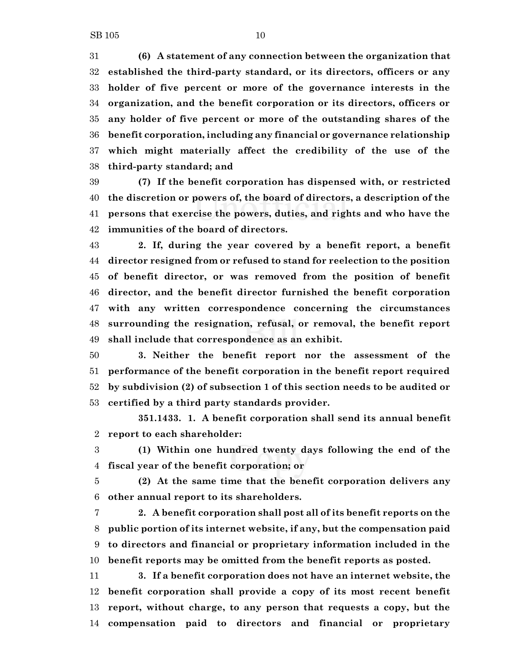**(6) A statement of any connection between the organization that established the third-party standard, or its directors, officers or any holder of five percent or more of the governance interests in the organization, and the benefit corporation or its directors, officers or any holder of five percent or more of the outstanding shares of the benefit corporation, including any financial or governance relationship which might materially affect the credibility of the use of the third-party standard; and**

 **(7) If the benefit corporation has dispensed with, or restricted the discretion or powers of, the board of directors, a description of the persons that exercise the powers, duties, and rights and who have the immunities of the board of directors.**

 **2. If, during the year covered by a benefit report, a benefit director resigned from or refused to stand for reelection to the position of benefit director, or was removed from the position of benefit director, and the benefit director furnished the benefit corporation with any written correspondence concerning the circumstances surrounding the resignation, refusal, or removal, the benefit report shall include that correspondence as an exhibit.**

 **3. Neither the benefit report nor the assessment of the performance of the benefit corporation in the benefit report required by subdivision (2) of subsection 1 of this section needs to be audited or certified by a third party standards provider.**

**351.1433. 1. A benefit corporation shall send its annual benefit report to each shareholder:**

 **(1) Within one hundred twenty days following the end of the fiscal year of the benefit corporation; or**

 **(2) At the same time that the benefit corporation delivers any other annual report to its shareholders.**

 **2. A benefit corporation shall post all of its benefit reports on the public portion of its internet website, if any, but the compensation paid to directors and financial or proprietary information included in the benefit reports may be omitted from the benefit reports as posted.**

 **3. If a benefit corporation does not have an internet website, the benefit corporation shall provide a copy of its most recent benefit report, without charge, to any person that requests a copy, but the compensation paid to directors and financial or proprietary**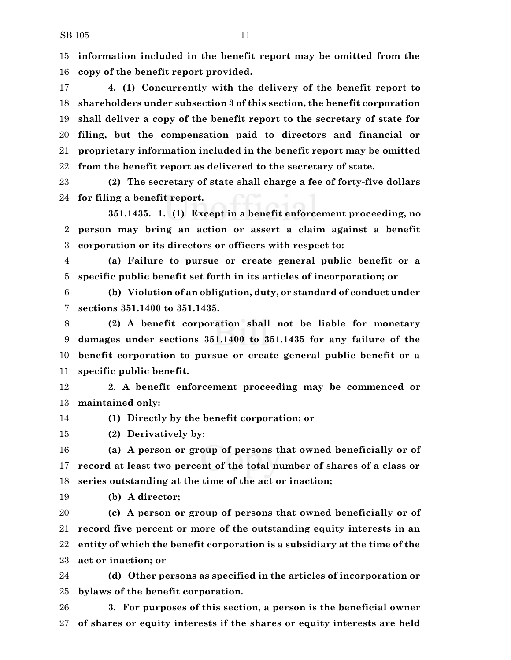**information included in the benefit report may be omitted from the copy of the benefit report provided.**

 **4. (1) Concurrently with the delivery of the benefit report to shareholders under subsection 3 of this section, the benefit corporation shall deliver a copy of the benefit report to the secretary of state for filing, but the compensation paid to directors and financial or proprietary information included in the benefit report may be omitted from the benefit report as delivered to the secretary of state.**

 **(2) The secretary of state shall charge a fee of forty-five dollars for filing a benefit report.**

**351.1435. 1. (1) Except in a benefit enforcement proceeding, no person may bring an action or assert a claim against a benefit corporation or its directors or officers with respect to:**

 **(a) Failure to pursue or create general public benefit or a specific public benefit set forth in its articles of incorporation; or**

 **(b) Violation of an obligation, duty, or standard of conduct under sections 351.1400 to 351.1435.**

 **(2) A benefit corporation shall not be liable for monetary damages under sections 351.1400 to 351.1435 for any failure of the benefit corporation to pursue or create general public benefit or a specific public benefit.**

 **2. A benefit enforcement proceeding may be commenced or maintained only:**

**(1) Directly by the benefit corporation; or**

**(2) Derivatively by:**

 **(a) A person or group of persons that owned beneficially or of record at least two percent of the total number of shares of a class or series outstanding at the time of the act or inaction;**

**(b) A director;**

 **(c) A person or group of persons that owned beneficially or of record five percent or more of the outstanding equity interests in an entity of which the benefit corporation is a subsidiary at the time of the act or inaction; or**

 **(d) Other persons as specified in the articles of incorporation or bylaws of the benefit corporation.**

 **3. For purposes of this section, a person is the beneficial owner of shares or equity interests if the shares or equity interests are held**